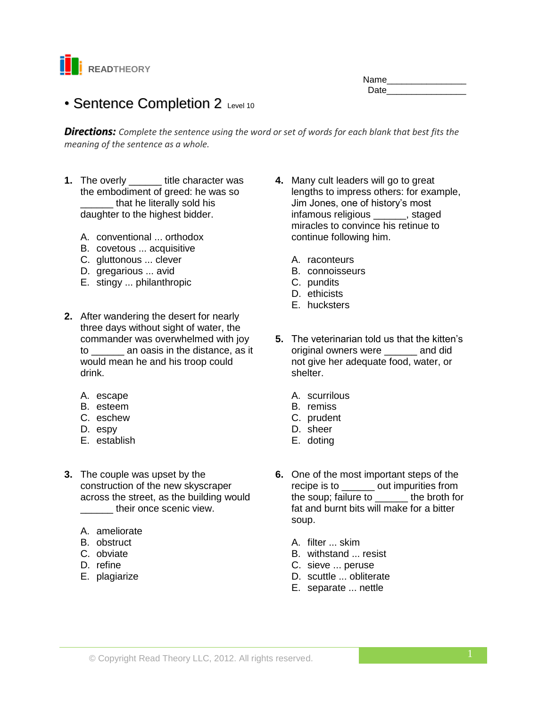

## Name\_\_\_\_\_\_\_\_\_\_\_\_\_\_\_\_ Date\_\_\_\_\_\_\_\_\_\_\_\_\_\_\_\_

# • Sentence Completion 2 Level 10

*Directions: Complete the sentence using the word or set of words for each blank that best fits the meaning of the sentence as a whole.*

- **1.** The overly \_\_\_\_\_\_ title character was the embodiment of greed: he was so that he literally sold his daughter to the highest bidder.
	- A. conventional ... orthodox
	- B. covetous ... acquisitive
	- C. gluttonous ... clever
	- D. gregarious ... avid
	- E. stingy ... philanthropic
- **2.** After wandering the desert for nearly three days without sight of water, the commander was overwhelmed with joy to \_\_\_\_\_\_ an oasis in the distance, as it would mean he and his troop could drink.
	- A. escape
	- B. esteem
	- C. eschew
	- D. espy
	- E. establish
- **3.** The couple was upset by the construction of the new skyscraper across the street, as the building would their once scenic view.
	- A. ameliorate
	- B. obstruct
	- C. obviate
	- D. refine
	- E. plagiarize
- **4.** Many cult leaders will go to great lengths to impress others: for example, Jim Jones, one of history's most infamous religious \_\_\_\_\_\_, staged miracles to convince his retinue to continue following him.
	- A. raconteurs
	- B. connoisseurs
	- C. pundits
	- D. ethicists
	- E. hucksters
- **5.** The veterinarian told us that the kitten's original owners were \_\_\_\_\_\_ and did not give her adequate food, water, or shelter.
	- A. scurrilous
	- B. remiss
	- C. prudent
	- D. sheer
	- E. doting
- **6.** One of the most important steps of the recipe is to \_\_\_\_\_\_ out impurities from the soup; failure to \_\_\_\_\_\_ the broth for fat and burnt bits will make for a bitter soup.
	- A. filter ... skim
	- B. withstand ... resist
	- C. sieve ... peruse
	- D. scuttle ... obliterate
	- E. separate ... nettle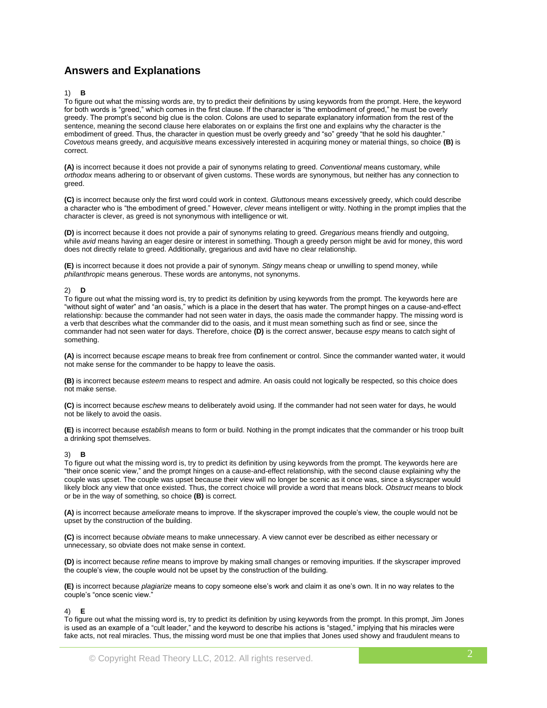## **Answers and Explanations**

### 1) **B**

To figure out what the missing words are, try to predict their definitions by using keywords from the prompt. Here, the keyword for both words is "greed," which comes in the first clause. If the character is "the embodiment of greed," he must be overly greedy. The prompt's second big clue is the colon. Colons are used to separate explanatory information from the rest of the sentence, meaning the second clause here elaborates on or explains the first one and explains why the character is the embodiment of greed. Thus, the character in question must be overly greedy and "so" greedy "that he sold his daughter." *Covetous* means greedy, and *acquisitive* means excessively interested in acquiring money or material things, so choice **(B)** is correct.

**(A)** is incorrect because it does not provide a pair of synonyms relating to greed. *Conventional* means customary, while *orthodox* means adhering to or observant of given customs. These words are synonymous, but neither has any connection to greed.

**(C)** is incorrect because only the first word could work in context. *Gluttonous* means excessively greedy, which could describe a character who is "the embodiment of greed." However, *clever* means intelligent or witty. Nothing in the prompt implies that the character is clever, as greed is not synonymous with intelligence or wit.

**(D)** is incorrect because it does not provide a pair of synonyms relating to greed. *Gregarious* means friendly and outgoing, while *avid* means having an eager desire or interest in something. Though a greedy person might be avid for money, this word does not directly relate to greed. Additionally, gregarious and avid have no clear relationship.

**(E)** is incorrect because it does not provide a pair of synonym. *Stingy* means cheap or unwilling to spend money, while *philanthropic* means generous. These words are antonyms, not synonyms.

#### 2) **D**

To figure out what the missing word is, try to predict its definition by using keywords from the prompt. The keywords here are "without sight of water" and "an oasis," which is a place in the desert that has water. The prompt hinges on a cause-and-effect relationship: because the commander had not seen water in days, the oasis made the commander happy. The missing word is a verb that describes what the commander did to the oasis, and it must mean something such as find or see, since the commander had not seen water for days. Therefore, choice **(D)** is the correct answer, because *espy* means to catch sight of something.

**(A)** is incorrect because *escape* means to break free from confinement or control. Since the commander wanted water, it would not make sense for the commander to be happy to leave the oasis.

**(B)** is incorrect because *esteem* means to respect and admire. An oasis could not logically be respected, so this choice does not make sense.

**(C)** is incorrect because *eschew* means to deliberately avoid using. If the commander had not seen water for days, he would not be likely to avoid the oasis.

**(E)** is incorrect because *establish* means to form or build. Nothing in the prompt indicates that the commander or his troop built a drinking spot themselves.

#### 3) **B**

To figure out what the missing word is, try to predict its definition by using keywords from the prompt. The keywords here are "their once scenic view," and the prompt hinges on a cause-and-effect relationship, with the second clause explaining why the couple was upset. The couple was upset because their view will no longer be scenic as it once was, since a skyscraper would likely block any view that once existed. Thus, the correct choice will provide a word that means block. *Obstruct* means to block or be in the way of something, so choice **(B)** is correct.

**(A)** is incorrect because *ameliorate* means to improve. If the skyscraper improved the couple's view, the couple would not be upset by the construction of the building.

**(C)** is incorrect because *obviate* means to make unnecessary. A view cannot ever be described as either necessary or unnecessary, so obviate does not make sense in context.

**(D)** is incorrect because *refine* means to improve by making small changes or removing impurities. If the skyscraper improved the couple's view, the couple would not be upset by the construction of the building.

**(E)** is incorrect because *plagiarize* means to copy someone else's work and claim it as one's own. It in no way relates to the couple's "once scenic view."

#### 4) **E**

To figure out what the missing word is, try to predict its definition by using keywords from the prompt. In this prompt, Jim Jones is used as an example of a "cult leader," and the keyword to describe his actions is "staged," implying that his miracles were fake acts, not real miracles. Thus, the missing word must be one that implies that Jones used showy and fraudulent means to